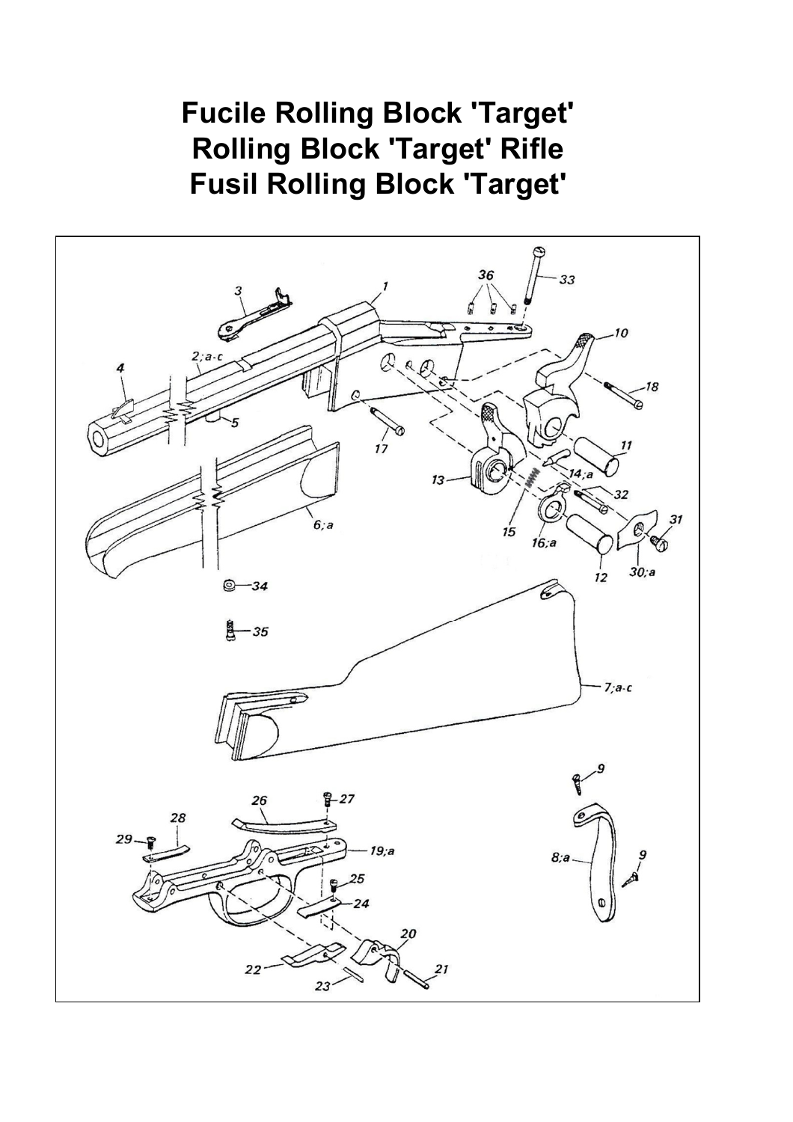## **Fucile Rolling Block 'Target' Rolling Block 'Target' Rifle Fusil Rolling Block 'Target'**